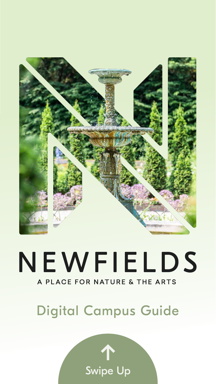

# NEWFIELDS A PLACE FOR NATURE & THE ARTS

## Digital Campus Guide

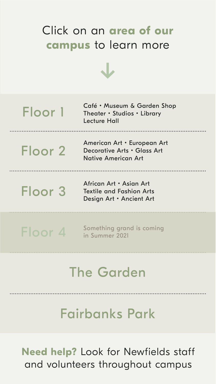[Café • Museum & Garden Shop](#page-7-0) Theater • Studios • Library Lecture Hall

## Click on an **area of our campus** to learn more



## Floor 1

[Floor 2](#page-8-0)

[Floor 3](#page-9-0)

### [The Garden](#page-10-0)

### [Fairbanks Park](#page-11-0)

American Art • European Art Decorative Arts • Glass Art Native American Art

Floor 4 Something grand is coming in Summer 2021

African Art • Asian Art Textile and Fashion Arts Design Art • Ancient Art

#### **Need help?** Look for Newfields staff and volunteers throughout campus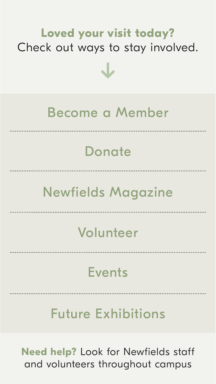## **Loved your visit today?** Check out ways to stay involved.



[Events](https://discovernewfields.org/calendar)

## [Future Exhibitions](https://discovernewfields.org/exhibitions)

#### **Need help?** Look for Newfields staff and volunteers throughout campus

## [Volunteer](https://discovernewfields.org/give-and-join/volunteer)

## [Newfields Magazine](https://discovernewfields.org/newsroom)

## [Donate](https://discovernewfields.org/give)

## [Become a Member](https://discovernewfields.org/give-and-join/become-member)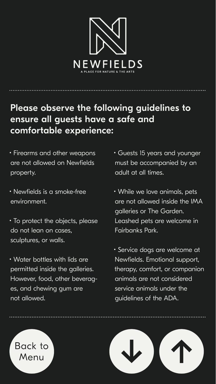- Firearms and other weapons are not allowed on Newfields property.
- Newfields is a smoke-free environment.
- To protect the objects, please do not lean on cases, sculptures, or walls.
- Water bottles with lids are

permitted inside the galleries. However, food, other beverages, and chewing gum are not allowed.

- Guests 15 years and younger must be accompanied by an adult at all times.
- While we love animals, pets are not allowed inside the IMA galleries or The Garden. Leashed pets are welcome in Fairbanks Park.
- Service dogs are welcome at

Newfields. Emotional support, therapy, comfort, or companion animals are not considered service animals under the guidelines of the ADA.







#### Please observe the following guidelines to ensure all guests have a safe and comfortable experience: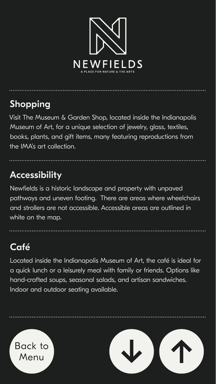

#### Shopping

Visit The Museum & Garden Shop, located inside the Indianapolis Museum of Art, for a unique selection of jewelry, glass, textiles, books, plants, and gift items, many featuring reproductions from the IMA's art collection.

#### **Accessibility**

#### Café

Located inside the Indianapolis Museum of Art, the café is ideal for a quick lunch or a leisurely meal with family or friends. Options like hand-crafted soups, seasonal salads, and artisan sandwiches. Indoor and outdoor seating available.



Newfields is a historic landscape and property with unpaved pathways and uneven footing. There are areas where wheelchairs and strollers are not accessible. Accessible areas are outlined in white on the map.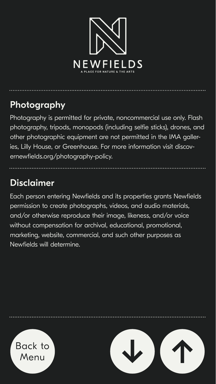

#### Photography

Photography is permitted for private, noncommercial use only. Flash photography, tripods, monopods (including selfie sticks), drones, and other photographic equipment are not permitted in the IMA galleries, Lilly House, or Greenhouse. For more information visit discovernewfields.org/photography-policy.

#### Disclaimer

Each person entering Newfields and its properties grants Newfields permission to create photographs, videos, and audio materials, and/or otherwise reproduce their image, likeness, and/or voice without compensation for archival, educational, promotional, marketing, website, commercial, and such other purposes as Newfields will determine.



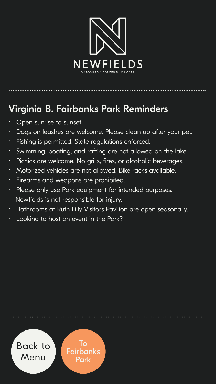

#### Virginia B. Fairbanks Park Reminders

- Open sunrise to sunset.
- Dogs on leashes are welcome. Please clean up after your pet.
- Fishing is permitted. State regulations enforced.
- · Swimming, boating, and rafting are not allowed on the lake.
- · Picnics are welcome. No grills, fires, or alcoholic beverages.
- · Motorized vehicles are not allowed. Bike racks available.
- · Firearms and weapons are prohibited.
- · Please only use Park equipment for intended purposes. Newfields is not responsible for injury.
- · Bathrooms at Ruth Lilly Visitors Pavilion are open seasonally.
- Looking to host an event in the Park?

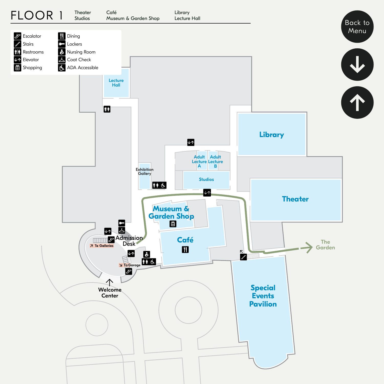<span id="page-7-0"></span>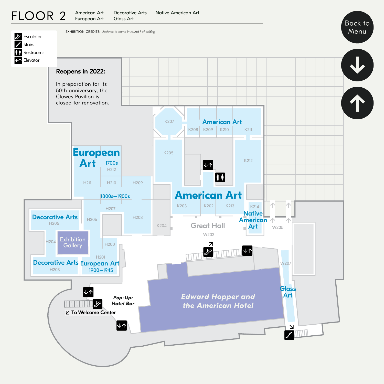

#### <span id="page-8-0"></span>FLOOR 2 American Art European Art Decorative Arts Glass Art Native American Art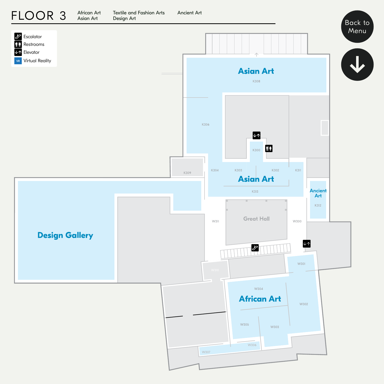<span id="page-9-0"></span>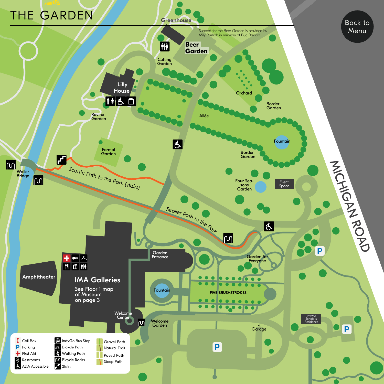<span id="page-10-0"></span>